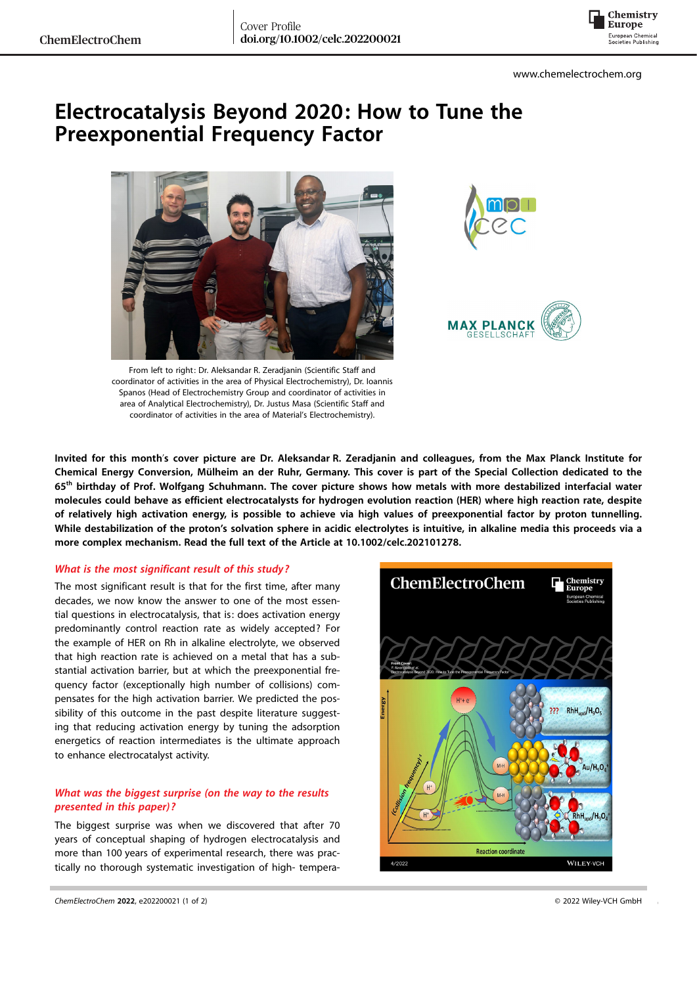

# Electrocatalysis Beyond 2020: How to Tune the Preexponential Frequency Factor







From left to right: Dr. Aleksandar R. Zeradjanin (Scientific Staff and coordinator of activities in the area of Physical Electrochemistry), Dr. Ioannis Spanos (Head of Electrochemistry Group and coordinator of activities in area of Analytical Electrochemistry), Dr. Justus Masa (Scientific Staff and coordinator of activities in the area of Material's Electrochemistry).

Invited for this month's cover picture are Dr. Aleksandar R. Zeradjanin and colleagues, from the Max Planck Institute for Chemical Energy Conversion, Mülheim an der Ruhr, Germany. This cover is part of the Special Collection dedicated to the 65<sup>th</sup> birthday of Prof. Wolfgang Schuhmann. The cover picture shows how metals with more destabilized interfacial water molecules could behave as efficient electrocatalysts for hydrogen evolution reaction (HER) where high reaction rate, despite of relatively high activation energy, is possible to achieve via high values of preexponential factor by proton tunnelling. While destabilization of the proton's solvation sphere in acidic electrolytes is intuitive, in alkaline media this proceeds via a more complex mechanism. Read the full text of the Article at [10.1002/celc.202101278.](https://doi.org/10.1002/celc.202101278)

### What is the most significant result of this study?

The most significant result is that for the first time, after many decades, we now know the answer to one of the most essential questions in electrocatalysis, that is: does activation energy predominantly control reaction rate as widely accepted? For the example of HER on Rh in alkaline electrolyte, we observed that high reaction rate is achieved on a metal that has a substantial activation barrier, but at which the preexponential frequency factor (exceptionally high number of collisions) compensates for the high activation barrier. We predicted the possibility of this outcome in the past despite literature suggesting that reducing activation energy by tuning the adsorption energetics of reaction intermediates is the ultimate approach to enhance electrocatalyst activity.

## What was the biggest surprise (on the way to the results presented in this paper)?

The biggest surprise was when we discovered that after 70 years of conceptual shaping of hydrogen electrocatalysis and more than 100 years of experimental research, there was practically no thorough systematic investigation of high- tempera-

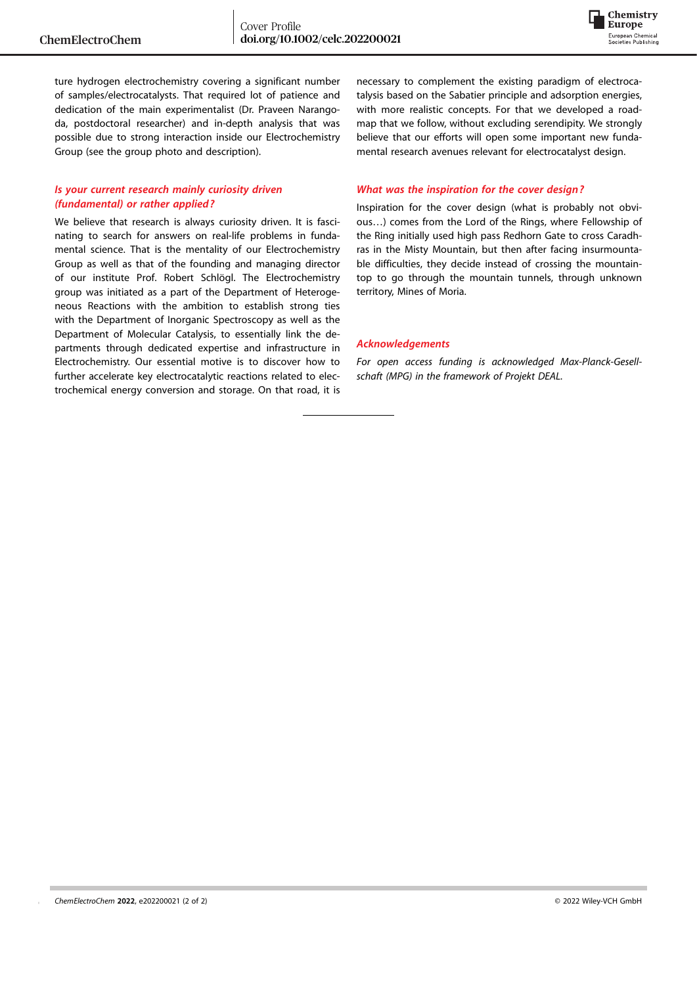

ture hydrogen electrochemistry covering a significant number of samples/electrocatalysts. That required lot of patience and dedication of the main experimentalist (Dr. Praveen Narangoda, postdoctoral researcher) and in-depth analysis that was possible due to strong interaction inside our Electrochemistry Group (see the group photo and description).

## Is your current research mainly curiosity driven (fundamental) or rather applied?

We believe that research is always curiosity driven. It is fascinating to search for answers on real-life problems in fundamental science. That is the mentality of our Electrochemistry Group as well as that of the founding and managing director of our institute Prof. Robert Schlögl. The Electrochemistry group was initiated as a part of the Department of Heterogeneous Reactions with the ambition to establish strong ties with the Department of Inorganic Spectroscopy as well as the Department of Molecular Catalysis, to essentially link the departments through dedicated expertise and infrastructure in Electrochemistry. Our essential motive is to discover how to further accelerate key electrocatalytic reactions related to electrochemical energy conversion and storage. On that road, it is

necessary to complement the existing paradigm of electrocatalysis based on the Sabatier principle and adsorption energies, with more realistic concepts. For that we developed a roadmap that we follow, without excluding serendipity. We strongly believe that our efforts will open some important new fundamental research avenues relevant for electrocatalyst design.

### What was the inspiration for the cover design?

Inspiration for the cover design (what is probably not obvious…) comes from the Lord of the Rings, where Fellowship of the Ring initially used high pass Redhorn Gate to cross Caradhras in the Misty Mountain, but then after facing insurmountable difficulties, they decide instead of crossing the mountaintop to go through the mountain tunnels, through unknown territory, Mines of Moria.

#### Acknowledgements

For open access funding is acknowledged Max-Planck-Gesellschaft (MPG) in the framework of Projekt DEAL.